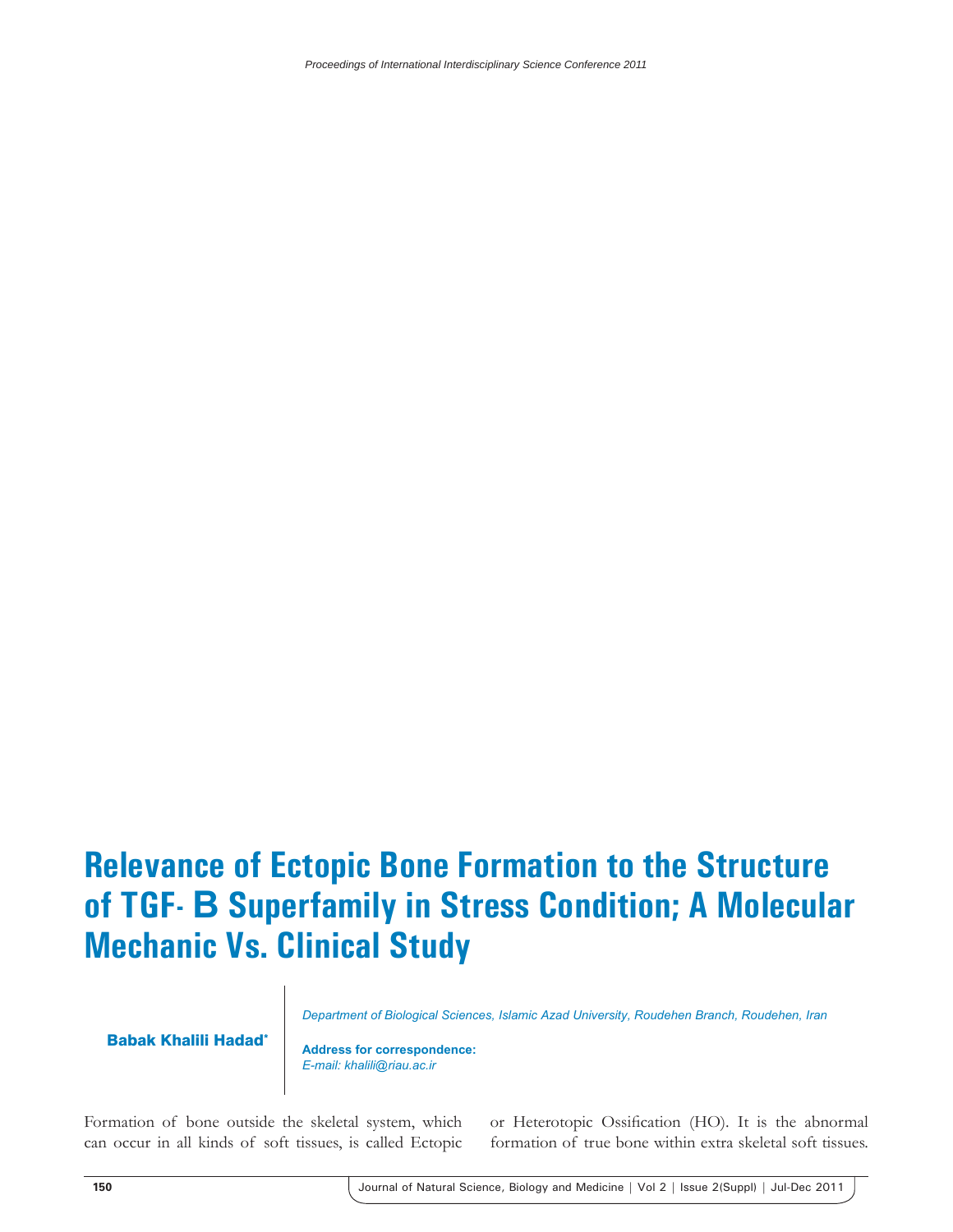## **Relevance of Ectopic Bone Formation to the Structure of TGF- Β Superfamily in Stress Condition; A Molecular Mechanic Vs. Clinical Study**

Babak Khalili Hadad\*

*Department of Biological Sciences, Islamic Azad University, Roudehen Branch, Roudehen, Iran*

**Address for correspondence:** *E-mail: khalili@riau.ac.ir*

Formation of bone outside the skeletal system, which can occur in all kinds of soft tissues, is called Ectopic or Heterotopic Ossification (HO). It is the abnormal formation of true bone within extra skeletal soft tissues.